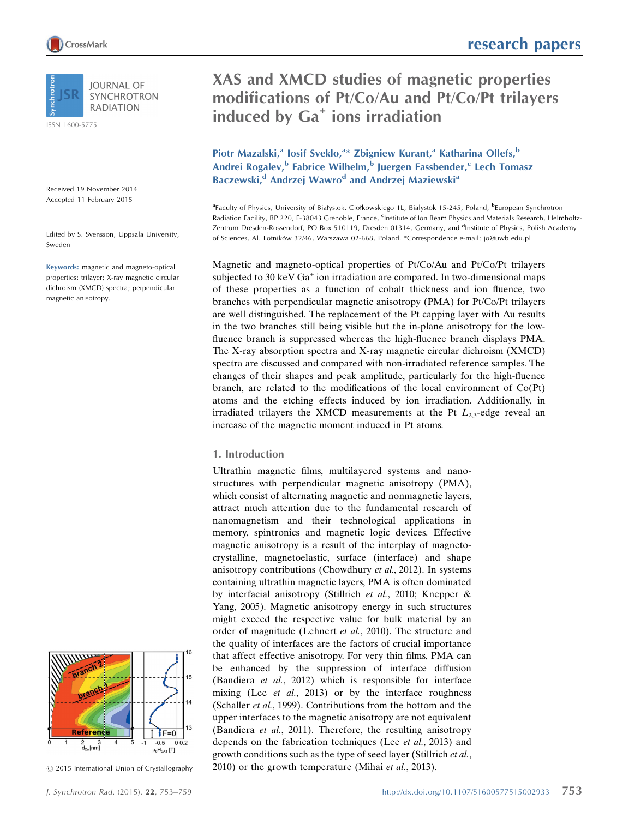

**IOURNAL OF SYNCHROTRON RADIATION** 

ISSN 1600-5775

Received 19 November 2014 Accepted 11 February 2015

Edited by S. Svensson, Uppsala University, Sweden

Keywords: magnetic and magneto-optical properties; trilayer; X-ray magnetic circular dichroism (XMCD) spectra; perpendicular magnetic anisotropy.



 $©$  2015 International Union of Crystallography

research papers

# XAS and XMCD studies of magnetic properties modifications of Pt/Co/Au and Pt/Co/Pt trilayers induced by Ga<sup>+</sup> ions irradiation

# Piotr Mazalski,<sup>a</sup> Iosif Sveklo,<sup>a\*</sup> Zbigniew Kurant,<sup>a</sup> Katharina Ollefs,<sup>b</sup> Andrei Rogalev,<sup>b</sup> Fabrice Wilhelm,<sup>b</sup> Juergen Fassbender,<sup>c</sup> Lech Tomasz Baczewski,<sup>d</sup> Andrzej Wawro<sup>d</sup> and Andrzej Maziewski<sup>a</sup>

<sup>a</sup>Faculty of Physics, University of Białystok, Ciołkowskiego 1L, Bialystok 15-245, Poland, <sup>b</sup>European Synchrotron Radiation Facility, BP 220, F-38043 Grenoble, France, <sup>c</sup>Institute of Ion Beam Physics and Materials Research, Helmholtz-Zentrum Dresden-Rossendorf, PO Box 510119, Dresden 01314, Germany, and <sup>d</sup>Institute of Physics, Polish Academy of Sciences, Al. Lotników 32/46, Warszawa 02-668, Poland. \*Correspondence e-mail: jo@uwb.edu.pl

Magnetic and magneto-optical properties of Pt/Co/Au and Pt/Co/Pt trilayers subjected to 30 keV  $Ga^+$  ion irradiation are compared. In two-dimensional maps of these properties as a function of cobalt thickness and ion fluence, two branches with perpendicular magnetic anisotropy (PMA) for Pt/Co/Pt trilayers are well distinguished. The replacement of the Pt capping layer with Au results in the two branches still being visible but the in-plane anisotropy for the lowfluence branch is suppressed whereas the high-fluence branch displays PMA. The X-ray absorption spectra and X-ray magnetic circular dichroism (XMCD) spectra are discussed and compared with non-irradiated reference samples. The changes of their shapes and peak amplitude, particularly for the high-fluence branch, are related to the modifications of the local environment of Co(Pt) atoms and the etching effects induced by ion irradiation. Additionally, in irradiated trilayers the XMCD measurements at the Pt  $L_{2,3}$ -edge reveal an increase of the magnetic moment induced in Pt atoms.

## 1. Introduction

Ultrathin magnetic films, multilayered systems and nanostructures with perpendicular magnetic anisotropy (PMA), which consist of alternating magnetic and nonmagnetic layers, attract much attention due to the fundamental research of nanomagnetism and their technological applications in memory, spintronics and magnetic logic devices. Effective magnetic anisotropy is a result of the interplay of magnetocrystalline, magnetoelastic, surface (interface) and shape anisotropy contributions (Chowdhury et al., 2012). In systems containing ultrathin magnetic layers, PMA is often dominated by interfacial anisotropy (Stillrich et al., 2010; Knepper & Yang, 2005). Magnetic anisotropy energy in such structures might exceed the respective value for bulk material by an order of magnitude (Lehnert et al., 2010). The structure and the quality of interfaces are the factors of crucial importance that affect effective anisotropy. For very thin films, PMA can be enhanced by the suppression of interface diffusion (Bandiera et al., 2012) which is responsible for interface mixing (Lee *et al.*, 2013) or by the interface roughness (Schaller et al., 1999). Contributions from the bottom and the upper interfaces to the magnetic anisotropy are not equivalent (Bandiera et al., 2011). Therefore, the resulting anisotropy depends on the fabrication techniques (Lee et al., 2013) and growth conditions such as the type of seed layer (Stillrich et al., 2010) or the growth temperature (Mihai et al., 2013).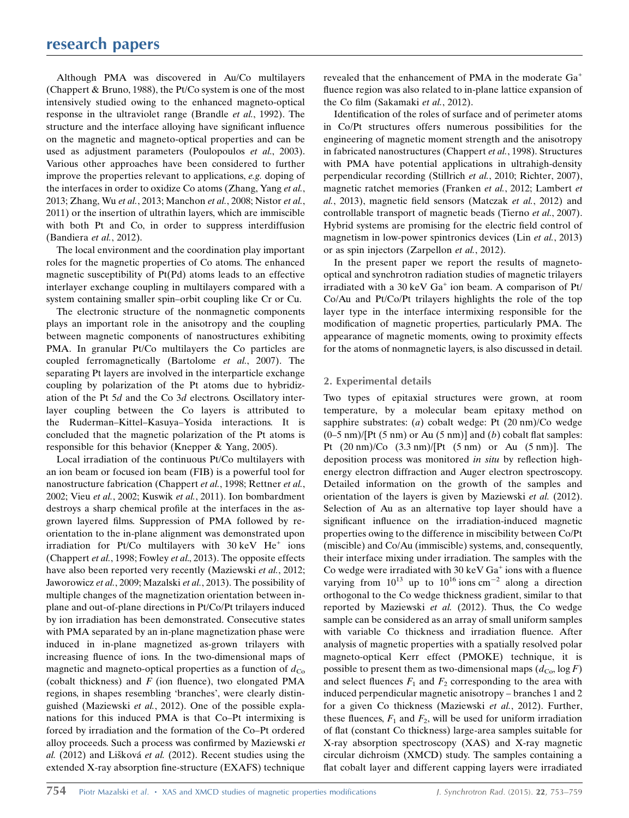Although PMA was discovered in Au/Co multilayers (Chappert & Bruno, 1988), the Pt/Co system is one of the most intensively studied owing to the enhanced magneto-optical response in the ultraviolet range (Brandle et al., 1992). The structure and the interface alloying have significant influence on the magnetic and magneto-optical properties and can be used as adjustment parameters (Poulopoulos et al., 2003). Various other approaches have been considered to further improve the properties relevant to applications, e.g. doping of the interfaces in order to oxidize Co atoms (Zhang, Yang et al., 2013; Zhang, Wu et al., 2013; Manchon et al., 2008; Nistor et al., 2011) or the insertion of ultrathin layers, which are immiscible with both Pt and Co, in order to suppress interdiffusion (Bandiera et al., 2012).

The local environment and the coordination play important roles for the magnetic properties of Co atoms. The enhanced magnetic susceptibility of Pt(Pd) atoms leads to an effective interlayer exchange coupling in multilayers compared with a system containing smaller spin–orbit coupling like Cr or Cu.

The electronic structure of the nonmagnetic components plays an important role in the anisotropy and the coupling between magnetic components of nanostructures exhibiting PMA. In granular Pt/Co multilayers the Co particles are coupled ferromagnetically (Bartolome et al., 2007). The separating Pt layers are involved in the interparticle exchange coupling by polarization of the Pt atoms due to hybridization of the Pt 5d and the Co 3d electrons. Oscillatory interlayer coupling between the Co layers is attributed to the Ruderman–Kittel–Kasuya–Yosida interactions. It is concluded that the magnetic polarization of the Pt atoms is responsible for this behavior (Knepper & Yang, 2005).

Local irradiation of the continuous Pt/Co multilayers with an ion beam or focused ion beam (FIB) is a powerful tool for nanostructure fabrication (Chappert et al., 1998; Rettner et al., 2002; Vieu et al., 2002; Kuswik et al., 2011). Ion bombardment destroys a sharp chemical profile at the interfaces in the asgrown layered films. Suppression of PMA followed by reorientation to the in-plane alignment was demonstrated upon irradiation for Pt/Co multilayers with  $30 \text{ keV}$  He<sup>+</sup> ions (Chappert et al., 1998; Fowley et al., 2013). The opposite effects have also been reported very recently (Maziewski et al., 2012; Jaworowicz et al., 2009; Mazalski et al., 2013). The possibility of multiple changes of the magnetization orientation between inplane and out-of-plane directions in Pt/Co/Pt trilayers induced by ion irradiation has been demonstrated. Consecutive states with PMA separated by an in-plane magnetization phase were induced in in-plane magnetized as-grown trilayers with increasing fluence of ions. In the two-dimensional maps of magnetic and magneto-optical properties as a function of  $d_{Co}$ (cobalt thickness) and  $F$  (ion fluence), two elongated PMA regions, in shapes resembling 'branches', were clearly distinguished (Maziewski et al., 2012). One of the possible explanations for this induced PMA is that Co–Pt intermixing is forced by irradiation and the formation of the Co–Pt ordered alloy proceeds. Such a process was confirmed by Maziewski et al.  $(2012)$  and Lišková et al.  $(2012)$ . Recent studies using the extended X-ray absorption fine-structure (EXAFS) technique

revealed that the enhancement of PMA in the moderate Ga<sup>+</sup> fluence region was also related to in-plane lattice expansion of the Co film (Sakamaki et al., 2012).

Identification of the roles of surface and of perimeter atoms in Co/Pt structures offers numerous possibilities for the engineering of magnetic moment strength and the anisotropy in fabricated nanostructures (Chappert et al., 1998). Structures with PMA have potential applications in ultrahigh-density perpendicular recording (Stillrich et al., 2010; Richter, 2007), magnetic ratchet memories (Franken et al., 2012; Lambert et al., 2013), magnetic field sensors (Matczak et al., 2012) and controllable transport of magnetic beads (Tierno et al., 2007). Hybrid systems are promising for the electric field control of magnetism in low-power spintronics devices (Lin et al., 2013) or as spin injectors (Zarpellon et al., 2012).

In the present paper we report the results of magnetooptical and synchrotron radiation studies of magnetic trilayers irradiated with a 30 keV Ga<sup>+</sup> ion beam. A comparison of Pt/ Co/Au and Pt/Co/Pt trilayers highlights the role of the top layer type in the interface intermixing responsible for the modification of magnetic properties, particularly PMA. The appearance of magnetic moments, owing to proximity effects for the atoms of nonmagnetic layers, is also discussed in detail.

## 2. Experimental details

Two types of epitaxial structures were grown, at room temperature, by a molecular beam epitaxy method on sapphire substrates: (a) cobalt wedge: Pt (20 nm)/Co wedge  $(0-5 \text{ nm})/[Pt (5 \text{ nm}) \text{ or Au} (5 \text{ nm})]$  and  $(b)$  cobalt flat samples: Pt  $(20 \text{ nm})/\text{Co}$   $(3.3 \text{ nm})/\text{Pt}$   $(5 \text{ nm})$  or Au  $(5 \text{ nm})$ . The deposition process was monitored in situ by reflection highenergy electron diffraction and Auger electron spectroscopy. Detailed information on the growth of the samples and orientation of the layers is given by Maziewski et al. (2012). Selection of Au as an alternative top layer should have a significant influence on the irradiation-induced magnetic properties owing to the difference in miscibility between Co/Pt (miscible) and Co/Au (immiscible) systems, and, consequently, their interface mixing under irradiation. The samples with the Co wedge were irradiated with 30 keV  $Ga<sup>+</sup>$  ions with a fluence varying from  $10^{13}$  up to  $10^{16}$  ions cm<sup>-2</sup> along a direction orthogonal to the Co wedge thickness gradient, similar to that reported by Maziewski et al. (2012). Thus, the Co wedge sample can be considered as an array of small uniform samples with variable Co thickness and irradiation fluence. After analysis of magnetic properties with a spatially resolved polar magneto-optical Kerr effect (PMOKE) technique, it is possible to present them as two-dimensional maps  $(d_{Co} \log F)$ and select fluences  $F_1$  and  $F_2$  corresponding to the area with induced perpendicular magnetic anisotropy – branches 1 and 2 for a given Co thickness (Maziewski et al., 2012). Further, these fluences,  $F_1$  and  $F_2$ , will be used for uniform irradiation of flat (constant Co thickness) large-area samples suitable for X-ray absorption spectroscopy (XAS) and X-ray magnetic circular dichroism (XMCD) study. The samples containing a flat cobalt layer and different capping layers were irradiated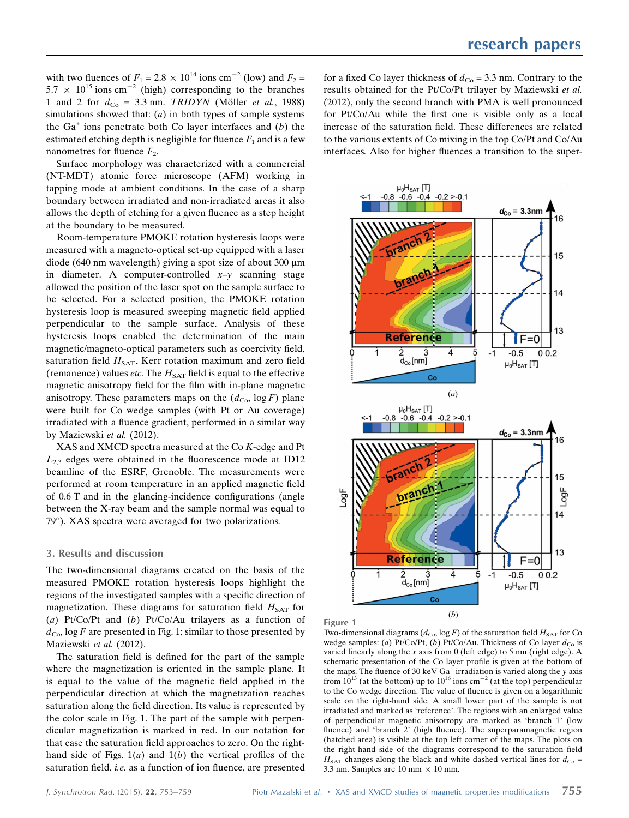with two fluences of  $F_1 = 2.8 \times 10^{14}$  ions cm<sup>-2</sup> (low) and  $F_2 =$  $5.7 \times 10^{15}$  ions cm<sup>-2</sup> (high) corresponding to the branches 1 and 2 for  $d_{\text{Co}} = 3.3$  nm. TRIDYN (Möller *et al.*, 1988) simulations showed that:  $(a)$  in both types of sample systems the  $Ga<sup>+</sup>$  ions penetrate both Co layer interfaces and (b) the estimated etching depth is negligible for fluence  $F_1$  and is a few nanometres for fluence  $F_2$ .

Surface morphology was characterized with a commercial (NT-MDT) atomic force microscope (AFM) working in tapping mode at ambient conditions. In the case of a sharp boundary between irradiated and non-irradiated areas it also allows the depth of etching for a given fluence as a step height at the boundary to be measured.

Room-temperature PMOKE rotation hysteresis loops were measured with a magneto-optical set-up equipped with a laser diode (640 nm wavelength) giving a spot size of about 300  $\mu$ m in diameter. A computer-controlled  $x-y$  scanning stage allowed the position of the laser spot on the sample surface to be selected. For a selected position, the PMOKE rotation hysteresis loop is measured sweeping magnetic field applied perpendicular to the sample surface. Analysis of these hysteresis loops enabled the determination of the main magnetic/magneto-optical parameters such as coercivity field, saturation field  $H_{\text{SAT}}$ , Kerr rotation maximum and zero field (remanence) values *etc*. The  $H_{\text{SAT}}$  field is equal to the effective magnetic anisotropy field for the film with in-plane magnetic anisotropy. These parameters maps on the  $(d_{\text{Co}} \log F)$  plane were built for Co wedge samples (with Pt or Au coverage) irradiated with a fluence gradient, performed in a similar way by Maziewski et al. (2012).

XAS and XMCD spectra measured at the Co K-edge and Pt  $L_{2,3}$  edges were obtained in the fluorescence mode at ID12 beamline of the ESRF, Grenoble. The measurements were performed at room temperature in an applied magnetic field of 0.6 T and in the glancing-incidence configurations (angle between the X-ray beam and the sample normal was equal to 79). XAS spectra were averaged for two polarizations.

#### 3. Results and discussion

The two-dimensional diagrams created on the basis of the measured PMOKE rotation hysteresis loops highlight the regions of the investigated samples with a specific direction of magnetization. These diagrams for saturation field  $H_{SAT}$  for (a) Pt/Co/Pt and (b) Pt/Co/Au trilayers as a function of  $d_{\text{Co}}$ , log F are presented in Fig. 1; similar to those presented by Maziewski et al. (2012).

The saturation field is defined for the part of the sample where the magnetization is oriented in the sample plane. It is equal to the value of the magnetic field applied in the perpendicular direction at which the magnetization reaches saturation along the field direction. Its value is represented by the color scale in Fig. 1. The part of the sample with perpendicular magnetization is marked in red. In our notation for that case the saturation field approaches to zero. On the righthand side of Figs.  $1(a)$  and  $1(b)$  the vertical profiles of the saturation field, *i.e.* as a function of ion fluence, are presented

for a fixed Co layer thickness of  $d_{\text{Co}} = 3.3$  nm. Contrary to the results obtained for the Pt/Co/Pt trilayer by Maziewski et al. (2012), only the second branch with PMA is well pronounced for Pt/Co/Au while the first one is visible only as a local increase of the saturation field. These differences are related to the various extents of Co mixing in the top Co/Pt and Co/Au interfaces. Also for higher fluences a transition to the super-





Two-dimensional diagrams ( $d_{\text{Co}}$ , log F) of the saturation field  $H_{\text{SAT}}$  for Co wedge samples: (a) Pt/Co/Pt, (b) Pt/Co/Au. Thickness of Co layer  $d_{\text{Co}}$  is varied linearly along the x axis from 0 (left edge) to 5 nm (right edge). A schematic presentation of the Co layer profile is given at the bottom of the maps. The fluence of 30 keV  $Ga^+$  irradiation is varied along the y axis from  $10^{13}$  (at the bottom) up to  $10^{16}$  ions cm<sup>-2</sup> (at the top) perpendicular to the Co wedge direction. The value of fluence is given on a logarithmic scale on the right-hand side. A small lower part of the sample is not irradiated and marked as 'reference'. The regions with an enlarged value of perpendicular magnetic anisotropy are marked as 'branch 1' (low fluence) and 'branch 2' (high fluence). The superparamagnetic region (hatched area) is visible at the top left corner of the maps. The plots on the right-hand side of the diagrams correspond to the saturation field  $H<sub>SAT</sub>$  changes along the black and white dashed vertical lines for  $d_{\text{Co}} =$ 3.3 nm. Samples are 10 mm  $\times$  10 mm.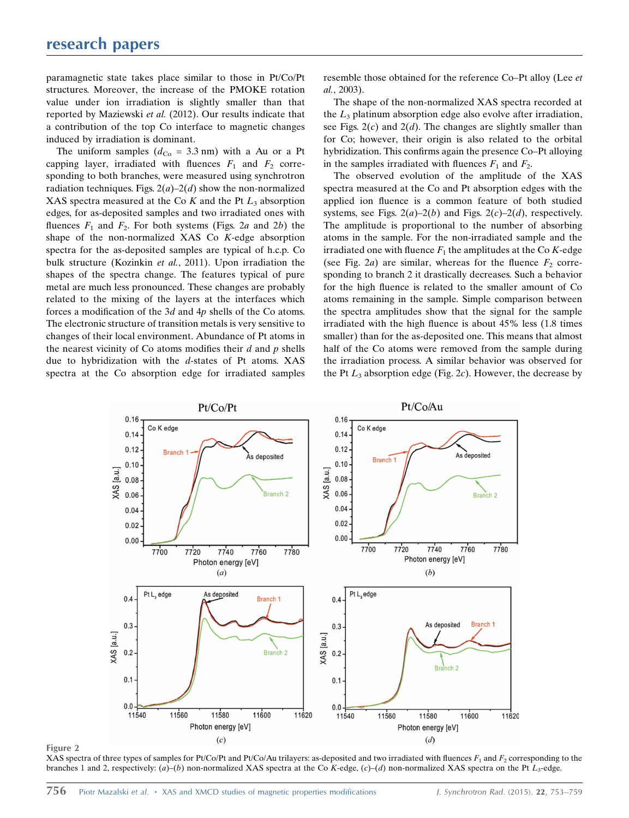paramagnetic state takes place similar to those in Pt/Co/Pt structures. Moreover, the increase of the PMOKE rotation value under ion irradiation is slightly smaller than that reported by Maziewski et al. (2012). Our results indicate that a contribution of the top Co interface to magnetic changes induced by irradiation is dominant.

The uniform samples  $(d_{Co} = 3.3 \text{ nm})$  with a Au or a Pt capping layer, irradiated with fluences  $F_1$  and  $F_2$  corresponding to both branches, were measured using synchrotron radiation techniques. Figs.  $2(a) - 2(d)$  show the non-normalized XAS spectra measured at the Co K and the Pt  $L_3$  absorption edges, for as-deposited samples and two irradiated ones with fluences  $F_1$  and  $F_2$ . For both systems (Figs. 2a and 2b) the shape of the non-normalized XAS Co K-edge absorption spectra for the as-deposited samples are typical of h.c.p. Co bulk structure (Kozinkin et al., 2011). Upon irradiation the shapes of the spectra change. The features typical of pure metal are much less pronounced. These changes are probably related to the mixing of the layers at the interfaces which forces a modification of the 3d and 4p shells of the Co atoms. The electronic structure of transition metals is very sensitive to changes of their local environment. Abundance of Pt atoms in the nearest vicinity of Co atoms modifies their  $d$  and  $p$  shells due to hybridization with the  $d$ -states of Pt atoms. XAS spectra at the Co absorption edge for irradiated samples

resemble those obtained for the reference Co–Pt alloy (Lee et al., 2003).

The shape of the non-normalized XAS spectra recorded at the  $L_3$  platinum absorption edge also evolve after irradiation, see Figs.  $2(c)$  and  $2(d)$ . The changes are slightly smaller than for Co; however, their origin is also related to the orbital hybridization. This confirms again the presence Co–Pt alloying in the samples irradiated with fluences  $F_1$  and  $F_2$ .

The observed evolution of the amplitude of the XAS spectra measured at the Co and Pt absorption edges with the applied ion fluence is a common feature of both studied systems, see Figs.  $2(a)-2(b)$  and Figs.  $2(c)-2(d)$ , respectively. The amplitude is proportional to the number of absorbing atoms in the sample. For the non-irradiated sample and the irradiated one with fluence  $F_1$  the amplitudes at the Co K-edge (see Fig. 2a) are similar, whereas for the fluence  $F_2$  corresponding to branch 2 it drastically decreases. Such a behavior for the high fluence is related to the smaller amount of Co atoms remaining in the sample. Simple comparison between the spectra amplitudes show that the signal for the sample irradiated with the high fluence is about 45% less (1.8 times smaller) than for the as-deposited one. This means that almost half of the Co atoms were removed from the sample during the irradiation process. A similar behavior was observed for the Pt  $L_3$  absorption edge (Fig. 2c). However, the decrease by



Figure 2

XAS spectra of three types of samples for Pt/Co/Pt and Pt/Co/Au trilayers: as-deposited and two irradiated with fluences  $F_1$  and  $F_2$  corresponding to the branches 1 and 2, respectively: (a)–(b) non-normalized XAS spectra at the Co K-edge, (c)–(d) non-normalized XAS spectra on the Pt  $L_3$ -edge.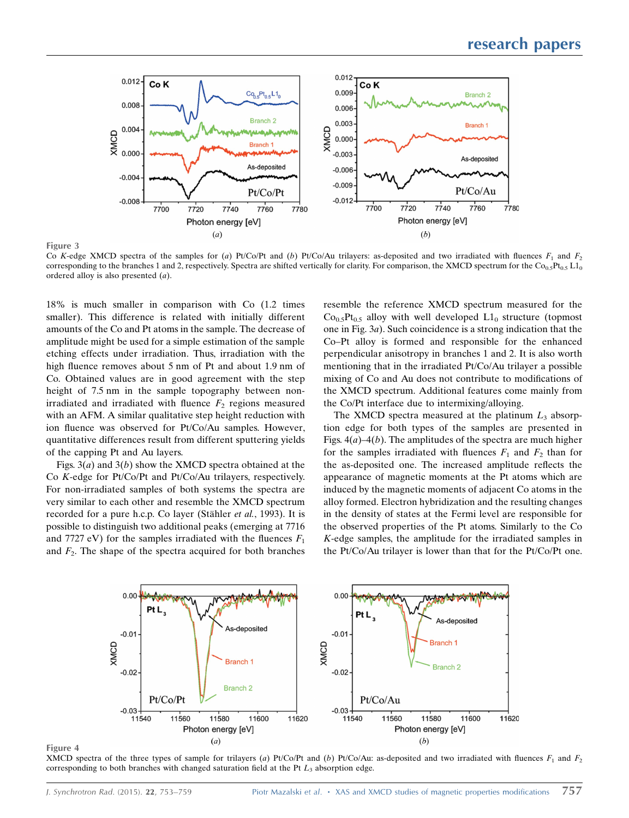

Co K-edge XMCD spectra of the samples for (a) Pt/Co/Pt and (b) Pt/Co/Au trilayers: as-deposited and two irradiated with fluences  $F_1$  and  $F_2$ corresponding to the branches 1 and 2, respectively. Spectra are shifted vertically for clarity. For comparison, the XMCD spectrum for the Co<sub>0.5</sub>Pt<sub>0.5</sub> L1<sub>0</sub> ordered alloy is also presented (a).

18% is much smaller in comparison with Co (1.2 times smaller). This difference is related with initially different amounts of the Co and Pt atoms in the sample. The decrease of amplitude might be used for a simple estimation of the sample etching effects under irradiation. Thus, irradiation with the high fluence removes about 5 nm of Pt and about 1.9 nm of Co. Obtained values are in good agreement with the step height of 7.5 nm in the sample topography between nonirradiated and irradiated with fluence  $F<sub>2</sub>$  regions measured with an AFM. A similar qualitative step height reduction with ion fluence was observed for Pt/Co/Au samples. However, quantitative differences result from different sputtering yields of the capping Pt and Au layers.

Figs.  $3(a)$  and  $3(b)$  show the XMCD spectra obtained at the Co K-edge for Pt/Co/Pt and Pt/Co/Au trilayers, respectively. For non-irradiated samples of both systems the spectra are very similar to each other and resemble the XMCD spectrum recorded for a pure h.c.p. Co layer (Stähler et al., 1993). It is possible to distinguish two additional peaks (emerging at 7716 and 7727 eV) for the samples irradiated with the fluences  $F_1$ and  $F_2$ . The shape of the spectra acquired for both branches

resemble the reference XMCD spectrum measured for the  $Co<sub>0.5</sub>Pt<sub>0.5</sub>$  alloy with well developed  $L1<sub>0</sub>$  structure (topmost one in Fig. 3a). Such coincidence is a strong indication that the Co–Pt alloy is formed and responsible for the enhanced perpendicular anisotropy in branches 1 and 2. It is also worth mentioning that in the irradiated Pt/Co/Au trilayer a possible mixing of Co and Au does not contribute to modifications of the XMCD spectrum. Additional features come mainly from the Co/Pt interface due to intermixing/alloying.

The XMCD spectra measured at the platinum  $L_3$  absorption edge for both types of the samples are presented in Figs.  $4(a)$ –4(b). The amplitudes of the spectra are much higher for the samples irradiated with fluences  $F_1$  and  $F_2$  than for the as-deposited one. The increased amplitude reflects the appearance of magnetic moments at the Pt atoms which are induced by the magnetic moments of adjacent Co atoms in the alloy formed. Electron hybridization and the resulting changes in the density of states at the Fermi level are responsible for the observed properties of the Pt atoms. Similarly to the Co K-edge samples, the amplitude for the irradiated samples in the Pt/Co/Au trilayer is lower than that for the Pt/Co/Pt one.



Figure 4

Figure 3

XMCD spectra of the three types of sample for trilayers (a) Pt/Co/Pt and (b) Pt/Co/Au: as-deposited and two irradiated with fluences  $F_1$  and  $F_2$ corresponding to both branches with changed saturation field at the Pt  $L_3$  absorption edge.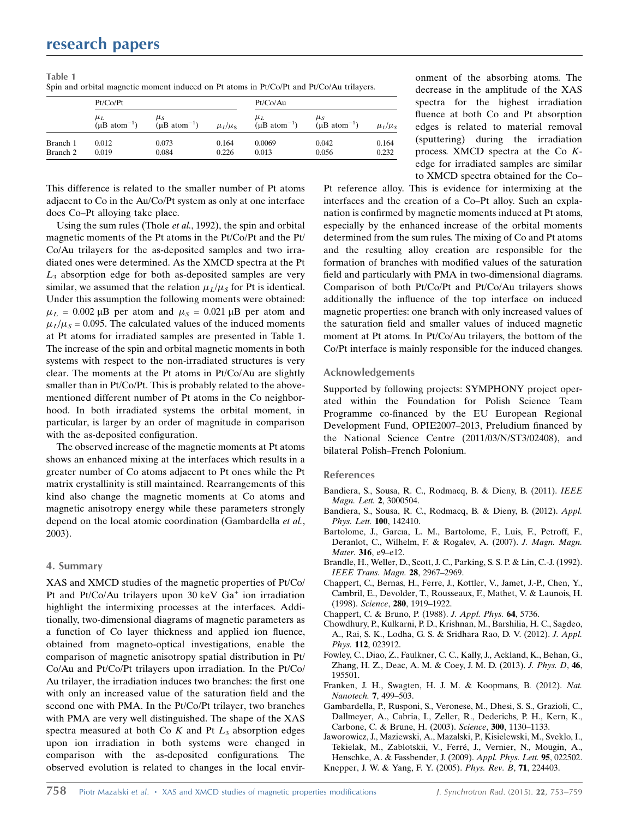| Table 1                                                                                  |  |
|------------------------------------------------------------------------------------------|--|
| Spin and orbital magnetic moment induced on Pt atoms in Pt/Co/Pt and Pt/Co/Au trilayers. |  |

|          | Pt/Co/Pt                               |                                        |               | Pt/Co/Au                               |                                        |               |
|----------|----------------------------------------|----------------------------------------|---------------|----------------------------------------|----------------------------------------|---------------|
|          | $\mu_L$<br>$(\mu B \text{ atom}^{-1})$ | $\mu_S$<br>$(\mu B \text{ atom}^{-1})$ | $\mu_I/\mu_S$ | $\mu_L$<br>$(\mu B \text{ atom}^{-1})$ | $\mu_S$<br>$(\mu B \text{ atom}^{-1})$ | $\mu_L/\mu_S$ |
| Branch 1 | 0.012                                  | 0.073                                  | 0.164         | 0.0069                                 | 0.042                                  | 0.164         |
| Branch 2 | 0.019                                  | 0.084                                  | 0.226         | 0.013                                  | 0.056                                  | 0.232         |

This difference is related to the smaller number of Pt atoms adjacent to Co in the Au/Co/Pt system as only at one interface does Co–Pt alloying take place.

Using the sum rules (Thole et al., 1992), the spin and orbital magnetic moments of the Pt atoms in the Pt/Co/Pt and the Pt/ Co/Au trilayers for the as-deposited samples and two irradiated ones were determined. As the XMCD spectra at the Pt  $L<sub>3</sub>$  absorption edge for both as-deposited samples are very similar, we assumed that the relation  $\mu_L/\mu_s$  for Pt is identical. Under this assumption the following moments were obtained:  $\mu_L = 0.002 \,\mu B$  per atom and  $\mu_S = 0.021 \,\mu B$  per atom and  $\mu_L/\mu_s = 0.095$ . The calculated values of the induced moments at Pt atoms for irradiated samples are presented in Table 1. The increase of the spin and orbital magnetic moments in both systems with respect to the non-irradiated structures is very clear. The moments at the Pt atoms in Pt/Co/Au are slightly smaller than in Pt/Co/Pt. This is probably related to the abovementioned different number of Pt atoms in the Co neighborhood. In both irradiated systems the orbital moment, in particular, is larger by an order of magnitude in comparison with the as-deposited configuration.

The observed increase of the magnetic moments at Pt atoms shows an enhanced mixing at the interfaces which results in a greater number of Co atoms adjacent to Pt ones while the Pt matrix crystallinity is still maintained. Rearrangements of this kind also change the magnetic moments at Co atoms and magnetic anisotropy energy while these parameters strongly depend on the local atomic coordination (Gambardella et al., 2003).

## 4. Summary

XAS and XMCD studies of the magnetic properties of Pt/Co/ Pt and Pt/Co/Au trilayers upon 30 keV  $Ga<sup>+</sup>$  ion irradiation highlight the intermixing processes at the interfaces. Additionally, two-dimensional diagrams of magnetic parameters as a function of Co layer thickness and applied ion fluence, obtained from magneto-optical investigations, enable the comparison of magnetic anisotropy spatial distribution in Pt/ Co/Au and Pt/Co/Pt trilayers upon irradiation. In the Pt/Co/ Au trilayer, the irradiation induces two branches: the first one with only an increased value of the saturation field and the second one with PMA. In the Pt/Co/Pt trilayer, two branches with PMA are very well distinguished. The shape of the XAS spectra measured at both Co  $K$  and Pt  $L_3$  absorption edges upon ion irradiation in both systems were changed in comparison with the as-deposited configurations. The observed evolution is related to changes in the local environment of the absorbing atoms. The decrease in the amplitude of the XAS spectra for the highest irradiation fluence at both Co and Pt absorption edges is related to material removal (sputtering) during the irradiation process. XMCD spectra at the Co Kedge for irradiated samples are similar to XMCD spectra obtained for the Co–

Pt reference alloy. This is evidence for intermixing at the interfaces and the creation of a Co–Pt alloy. Such an explanation is confirmed by magnetic moments induced at Pt atoms, especially by the enhanced increase of the orbital moments determined from the sum rules. The mixing of Co and Pt atoms and the resulting alloy creation are responsible for the formation of branches with modified values of the saturation field and particularly with PMA in two-dimensional diagrams. Comparison of both Pt/Co/Pt and Pt/Co/Au trilayers shows additionally the influence of the top interface on induced magnetic properties: one branch with only increased values of the saturation field and smaller values of induced magnetic moment at Pt atoms. In Pt/Co/Au trilayers, the bottom of the Co/Pt interface is mainly responsible for the induced changes.

#### Acknowledgements

Supported by following projects: SYMPHONY project operated within the Foundation for Polish Science Team Programme co-financed by the EU European Regional Development Fund, OPIE2007–2013, Preludium financed by the National Science Centre (2011/03/N/ST3/02408), and bilateral Polish–French Polonium.

#### References

- [Bandiera, S., Sousa, R. C., Rodmacq, B. & Dieny, B. \(2011\).](http://scripts.iucr.org/cgi-bin/cr.cgi?rm=pdfbb&cnor=ve5034&bbid=BB1) IEEE [Magn. Lett.](http://scripts.iucr.org/cgi-bin/cr.cgi?rm=pdfbb&cnor=ve5034&bbid=BB1) 2, 3000504.
- [Bandiera, S., Sousa, R. C., Rodmacq, B. & Dieny, B. \(2012\).](http://scripts.iucr.org/cgi-bin/cr.cgi?rm=pdfbb&cnor=ve5034&bbid=BB2) Appl. [Phys. Lett.](http://scripts.iucr.org/cgi-bin/cr.cgi?rm=pdfbb&cnor=ve5034&bbid=BB2) 100, 142410.
- [Bartolome, J., Garcıa, L. M., Bartolome, F., Luis, F., Petroff, F.,](http://scripts.iucr.org/cgi-bin/cr.cgi?rm=pdfbb&cnor=ve5034&bbid=BB3) [Deranlot, C., Wilhelm, F. & Rogalev, A. \(2007\).](http://scripts.iucr.org/cgi-bin/cr.cgi?rm=pdfbb&cnor=ve5034&bbid=BB3) J. Magn. Magn. Mater. 316, e9-e12.
- [Brandle, H., Weller, D., Scott, J. C., Parking, S. S. P. & Lin, C.-J. \(1992\).](http://scripts.iucr.org/cgi-bin/cr.cgi?rm=pdfbb&cnor=ve5034&bbid=BB4) [IEEE Trans. Magn.](http://scripts.iucr.org/cgi-bin/cr.cgi?rm=pdfbb&cnor=ve5034&bbid=BB4) 28, 2967–2969.
- [Chappert, C., Bernas, H., Ferre, J., Kottler, V., Jamet, J.-P., Chen, Y.,](http://scripts.iucr.org/cgi-bin/cr.cgi?rm=pdfbb&cnor=ve5034&bbid=BB5) [Cambril, E., Devolder, T., Rousseaux, F., Mathet, V. & Launois, H.](http://scripts.iucr.org/cgi-bin/cr.cgi?rm=pdfbb&cnor=ve5034&bbid=BB5) (1998). Science, 280[, 1919–1922.](http://scripts.iucr.org/cgi-bin/cr.cgi?rm=pdfbb&cnor=ve5034&bbid=BB5)
- [Chappert, C. & Bruno, P. \(1988\).](http://scripts.iucr.org/cgi-bin/cr.cgi?rm=pdfbb&cnor=ve5034&bbid=BB6) J. Appl. Phys. 64, 5736.
- [Chowdhury, P., Kulkarni, P. D., Krishnan, M., Barshilia, H. C., Sagdeo,](http://scripts.iucr.org/cgi-bin/cr.cgi?rm=pdfbb&cnor=ve5034&bbid=BB7) [A., Rai, S. K., Lodha, G. S. & Sridhara Rao, D. V. \(2012\).](http://scripts.iucr.org/cgi-bin/cr.cgi?rm=pdfbb&cnor=ve5034&bbid=BB7) J. Appl. Phys. 112[, 023912.](http://scripts.iucr.org/cgi-bin/cr.cgi?rm=pdfbb&cnor=ve5034&bbid=BB7)
- [Fowley, C., Diao, Z., Faulkner, C. C., Kally, J., Ackland, K., Behan, G.,](http://scripts.iucr.org/cgi-bin/cr.cgi?rm=pdfbb&cnor=ve5034&bbid=BB8) [Zhang, H. Z., Deac, A. M. & Coey, J. M. D. \(2013\).](http://scripts.iucr.org/cgi-bin/cr.cgi?rm=pdfbb&cnor=ve5034&bbid=BB8) J. Phys. D, 46, [195501.](http://scripts.iucr.org/cgi-bin/cr.cgi?rm=pdfbb&cnor=ve5034&bbid=BB8)
- [Franken, J. H., Swagten, H. J. M. & Koopmans, B. \(2012\).](http://scripts.iucr.org/cgi-bin/cr.cgi?rm=pdfbb&cnor=ve5034&bbid=BB9) Nat. Nanotech. 7[, 499–503.](http://scripts.iucr.org/cgi-bin/cr.cgi?rm=pdfbb&cnor=ve5034&bbid=BB9)
- [Gambardella, P., Rusponi, S., Veronese, M., Dhesi, S. S., Grazioli, C.,](http://scripts.iucr.org/cgi-bin/cr.cgi?rm=pdfbb&cnor=ve5034&bbid=BB10) [Dallmeyer, A., Cabria, I., Zeller, R., Dederichs, P. H., Kern, K.,](http://scripts.iucr.org/cgi-bin/cr.cgi?rm=pdfbb&cnor=ve5034&bbid=BB10) [Carbone, C. & Brune, H. \(2003\).](http://scripts.iucr.org/cgi-bin/cr.cgi?rm=pdfbb&cnor=ve5034&bbid=BB10) Science, 300, 1130–1133.
- [Jaworowicz, J., Maziewski, A., Mazalski, P., Kisielewski, M., Sveklo, I.,](http://scripts.iucr.org/cgi-bin/cr.cgi?rm=pdfbb&cnor=ve5034&bbid=BB11) Tekielak, M., Zablotskii, V., Ferré, J., Vernier, N., Mougin, A., [Henschke, A. & Fassbender, J. \(2009\).](http://scripts.iucr.org/cgi-bin/cr.cgi?rm=pdfbb&cnor=ve5034&bbid=BB11) Appl. Phys. Lett. 95, 022502. [Knepper, J. W. & Yang, F. Y. \(2005\).](http://scripts.iucr.org/cgi-bin/cr.cgi?rm=pdfbb&cnor=ve5034&bbid=BB12) Phys. Rev. B, 71, 224403.